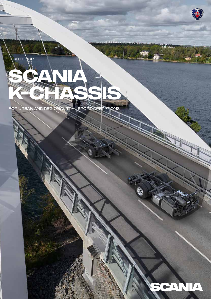

For Urban and regional transport operations

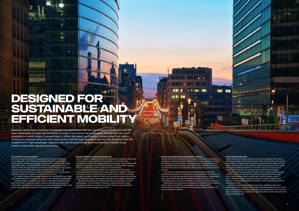### **For a better city environment**

Having the right vehicle for the operation and using it efficiently is the best way to minimise environmental impact. Scania offers hybrid electric buses and engines running on all commercially viable renewable fuels – biodiesel/FAME, HVO and biogas powertrains, in order to meet the requirements of all operations. Through high quality vehicles and innovative technical solutions, maintenance, and a range of driver services, we address fuel efficiency from all angles, helping operators to reduce emissions and fuel costs.

 To create a positive passenger experience, Scania offers both rigid and independent front suspension, making the ride more comfortable.

 To help prevent accidents and create a safer environment, Scania also offers state-of-the-art safety systems and features as options. These help the driver by increasing his or her awareness of other road users, and even help to control the vehicle when required.

### **Energy efficiency lowers operating cost**

Public transport operators know the importance of keeping operating costs to a minimum, and fuel consumption is one of the main contributors to cost. An energy efficient powertrain can therefore offer significant savings in fuel. Scania develops and offers highly energy efficient powertrains, both traditional and electrified.

# $1.00$   $0.004$ **DESIGNED FOR SUSTAINABLE AND EFFICIENT MOBILITY**

49.

 Compared to previous models, the new generation of Scania offers operators the potential to make significant savings in fuel and emissions, without compromising on performance. This is achieved through a number of factors, with the most significant savings coming from improved engine and gearbox efficiency and weight reductions.

 Beyond the powertrain, driving style has a major impact on fuel consumption. The drivability of Scania´s vehicles and our driver assistance systems, as well as our driver services, can potentially contribute to fuel savings of up to 10%.

 Due to the demanding work environment, operators also face challenges when it comes to sick leave and employee retention; that's why we've designed the best possible work environment for drivers in terms of ergonomics, reachability, climate control, safety features and an overall quality feel.

Based on more than a century of engineering experience, the new generation of Scania buses has been developed to meet the demands of today's and tomorrow's operators. Energy efficient and available in a wide range of powertrains, it offers the latest technology in everything from safety systems to reduced emission and noise levels. And through excellent uptime, fuel economy and the possibility for high passenger capacity, the new Scania buses allow sustainable mobility to go hand-in-hand with operating economy.

# **Ensuring availability through reliable solutions**

Reducing vehicle downtime and increasing utilisation is essential to making your operations cost-efficient. Our buses are built on proven technology and components, resulting in chassis and powertrains that are dependable, durable, and robust. That reliability is the key to minimising time in the workshop and maximising utilisation of the vehicle.

**THE REAL PROPERTY** 

 Our buses are designed and constructed to make sure that sensitive and expensive components are protected in the event of a collision. Limiting damage and avoiding deformation of components such as the steering and aftertreatment system is critical for minimising costs, as well as complex and time-consuming repairs.

 Additionally, Scania buses are designed to facilitate maintenance and to make it as efficient as possible. Here, Scania offers professional workshop services with excellent parts availability to secure maximum uptime.

### **A first-class driver area**

131 W.

**ENE THE** 

mini

A bus operating in heavy traffic is constantly exposed to the risk of external damage and the work environment for the driver can be very demanding. A quality driver environment can therefore play a crucial role in reducing the risk of collisions, downtime and sick-leave, while increasing employee retention. The driver area in Scania buses is simply first-class and can even be said to be industry leading.

ا الثاقة في من من من من من المناخ

 A great turning circle, good visibility, and an overall well-balanced vehicle makes for excellent driveability, while optional advanced driver assistance systems (ADAS) give the driver good control of the vehicle through improved assisted handling, steering and braking. This increases safety and helps minimise accidents and the associated costs.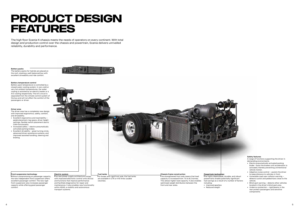### **Battery packs**

The battery packs for hybrids are placed on the roof, creating a well-balanced bus with excellent driveability and ride comfort.

### **Front suspension technology**

Without compromising on passenger capacity, the new independent front suspension offers excellent passenger comfort. The new rigid front suspension also increases passenger capacity while offering good passenger comfort.

### **Driver area**

**Fuel tanks** For buses with rigid front axle, the fuel tanks

The driver area has a completely new design with improved ergonomics, safety, comfort, and driveability.

> The new power supply architecture comes with improved electronic control units (ECUs) and functions that improve performance and facilitate diagnostics for repair and maintenance. It also enables new functionality within ADAS, e-mobility and autonomous transport systems.

- Excellent ergonomics and reachability pedal placement, leg space, driver height settings, flexible switch placement due to CAN-functionality.
- Increased safety electro-pneumatically activated parking brakes.
- Excellent drivability great turning circle, advanced driver assistance systems, and improved assisted handling, steering and braking.





are available in 275 or 410 litres (usable volumes).

# **Electric system**

- Electro-pneumatically activated parking brake - locks the brakes until acceleration is activated, thereby preventing unintentional vehicle motion.
- Adaptive cruise control assists the driver to keep distance to vehicles in front.
- Vulnerable road user collision warning detects cyclist and pedestrians close to the vehicle.
- Blind spot warning detects other vehicles located in the driver's blind spot area.
- Underrun protection rigid beams in the rear protect passengers and sensitive components.

# **PRODUCT DESIGN FEATURES**

 ${\overline{\mathrm{T}}}$ he strengthened front axle means that load capacity is increased from 7.5 to 8.2 tonnes. This allows higher load capacity. It also enables optimised weight distribution between the front and rear axles.

The high floor Scania K-chassis meets the needs of operators on every continent. With total design and production control over the chassis and powertrain, Scania delivers unrivalled reliability, durability and performance.

> The highly dependable, durable, and robust powertrains enable potentially significant fuel savings as a result of a number of factors including:

• Improved gearbox • Reduced weight

### **Battery temperature control**

Battery pack temperature is controlled by a closed water-cooling system. In very cold or very hot ambient temperatures, the water cooling is assisted by an electric heater or a A/C cooling respectively. The A/C circuit is separated from the climate control system of the bus and will not affect the comfort of the passengers or driver.

### **Safety features**

A range of functions supporting the driver in demanding environments.

### **Chassis frame construction**

### **Powertrain technology**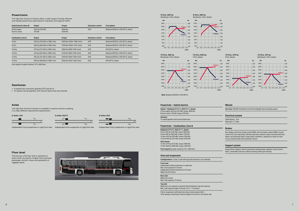# **Powertrains**

The high floor Scania K-chassis offers a wide range of energy efficient and reliable powertrains optimised for suburban and regional traffic.

# **Axles**

The high floor Scania K-chassis is available in several variants, enabling it to meet different operational requirements.







Independent front suspension or rigid front axle. Independent front suspension or rigid front axle. Independent front suspension or rigid front axle.

| <b>Hybrid electric (Euro 6)</b>  | Output                        | <b>Torque</b>             | <b>Emissions control</b> | <b>Fuel options</b>                 |
|----------------------------------|-------------------------------|---------------------------|--------------------------|-------------------------------------|
| 9-litre engine<br>Electric motor | 320 hp (235 kW)<br>130 kW     | 1600 Nm<br>$1030$ Nm      | <b>SCR</b>               | Biodesel (B100%), HVO (B7%), diesel |
| <b>Combustion, Euro 6</b>        | Output                        | Torque                    | <b>Emissions control</b> | <b>Fuel options</b>                 |
| 9-litre                          | 320 hp (235 kW) at 1900 r/min | 1600 Nm (1050-1400 r/min) | <b>SCR</b>               | Biodesel (B100%), HVO (B7%), diesel |
| 9-litre                          | 360 hp (265 kW) at 1900 r/min | 1700 Nm (1050-1475 r/min) | <b>SCR</b>               | Biodesel (B100%), HVO (B7%), diesel |
| 13-litre                         | 370 hp (272 kW) at 1800 r/min | 1900 Nm (900-1340 r/min)  | <b>SCR</b>               | HVO (B7%), diesel                   |
| 13-litre                         | 410 hp (302 kW) at 1800 r/min | 2150 Nm (900-1340 r/min)  | <b>SCR</b>               | Biodesel (B100%), HVO (B7%), diesel |
| 13-litre                         | 450 hp (331 kW) at 1800 r/min | 2350 Nm (900-1340 r/min)  | <b>SCR</b>               | Biodesel (B100%), HVO (B7%), diesel |
| 13-litre                         | 500 hp (368 kW) at 1800 r/min | 2550 Nm (925-1340 r/min)  | <b>SCR</b>               | HVO (B7%), diesel                   |

Rigid axle, non-steered or steered. Electrohydraulic tag axle steering Max. load capacity bogie 19 tonnes (11.5 + 7.5 tonnes)

Fuel capacity (usable volumes): 275–460 litres

# **Floor level**

The bus has a flat floor that is reached via stairs when you board. A higher floor improves passenger comfort, views and possibility of luggage space.

# **Gearboxes**

- 6-speed fully automatic gearbox (ZF EcoLife 2)
- 12-speed manual gearbox with Scania Opticruise and retarder

## **Powertrain – Hybrid electric**

**Hybrid – Biodiesel** (B100%)**, HVO** (B7%)**, diesel:** 9-litre engine 320 hp (235 kW), torque 1600 Nm Electric motor 130 kW, torque 1030 Nm

**Gearbox:** 12-speed gearbox with Scania Opticruise

## **Powertrain – Combustion, Euro 6**

**Biodiesel** (B100%)**, HVO** (B7%)**, diesel:** 9-litre 320 hp (235 kW), torque 1600 Nm 9-litre 360 hp (265 kW), torque 1700 Nm 13-litre 410 hp (302 kW), torque 2150 Nm 13-litre 450 hp (331 kW), torque 2350 Nm **HVO, diesel:**

13-litre 370 hp (272 kW), torque 1900 Nm 13-litre 500 hp (368 kW), torque 2550 Nm **Fuel capacity** (usable volumes)**:** 275–460 litres

# **Axle and suspension**

**Configurations:** 2-axle, 3-axle with tag axle (steered or non-steered),

**Front axle:**  Independent wheel suspension or rigid axle Max. load capacity 8.2 tonnes Independent wheel suspension 8.2 tonnes Rigid axle 8.0 tonnes

**Rear axle:** Rigid axle, driven Max. load capacity 13 tonnes

# **Tag axle:**

Full air suspension with electronic level control system (ELC) Total raising or lowering of chassis height in the front or the whole side

# **Wheels**

**Tyre size:** 295/80 Continental on 8.25 Durabright alloy (Including spare)

# **Electrical system**

230A battery, 24 V Alternator 2 x 150A

# **Brakes**

Disc brakes, electronic brake system (EBS), anti-lock brake system (ABS), traction control (TC), bus stop brake, hill-hold, pad wear indicator, pipes manufactured from either rust protected steel or high impact synthetics, separate air tanks for each circuit, exhaust brake with automatic control

# **Support system**

Scania Driver Support, electro-pneumatic parking brake, adaptive cruise control (ACC), vulnerable road user collision warning, blind spot warning

### **13-litre, 410 hp** Biodiesel, HVO, diesel

**Power**



**Torque**









**hp**

**r/min**

**Note:** Biodiesel (B100%); HVO (B7%)